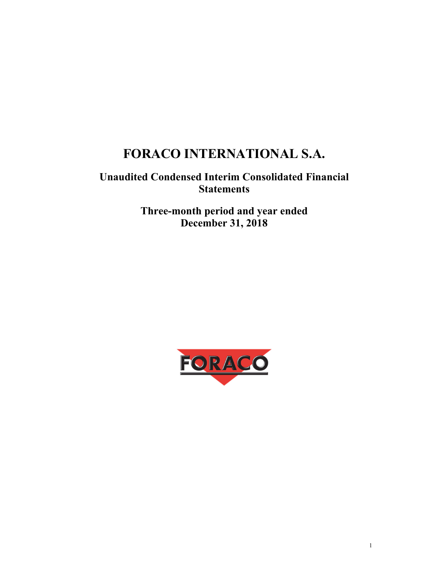# **FORACO INTERNATIONAL S.A.**

## **Unaudited Condensed Interim Consolidated Financial Statements**

**Three-month period and year ended December 31, 2018** 

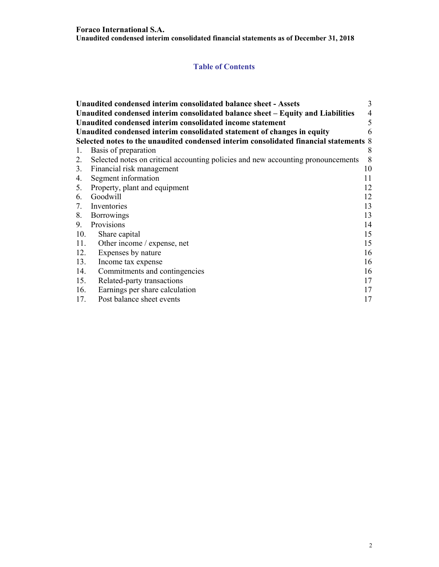## **Table of Contents**

|     | Unaudited condensed interim consolidated balance sheet - Assets                       | 3  |
|-----|---------------------------------------------------------------------------------------|----|
|     | Unaudited condensed interim consolidated balance sheet - Equity and Liabilities       | 4  |
|     | Unaudited condensed interim consolidated income statement                             | 5  |
|     | Unaudited condensed interim consolidated statement of changes in equity               | 6  |
|     | Selected notes to the unaudited condensed interim consolidated financial statements 8 |    |
| 1.  | Basis of preparation                                                                  | 8  |
| 2.  | Selected notes on critical accounting policies and new accounting pronouncements      | 8  |
|     | 3. Financial risk management                                                          | 10 |
| 4.  | Segment information                                                                   | 11 |
|     | 5. Property, plant and equipment                                                      | 12 |
| 6.  | Goodwill                                                                              | 12 |
| 7.  | Inventories                                                                           | 13 |
| 8.  | <b>Borrowings</b>                                                                     | 13 |
| 9.  | Provisions                                                                            | 14 |
| 10. | Share capital                                                                         | 15 |
| 11. | Other income / expense, net                                                           | 15 |
| 12. | Expenses by nature                                                                    | 16 |
| 13. | Income tax expense                                                                    | 16 |
| 14. | Commitments and contingencies                                                         | 16 |
| 15. | Related-party transactions                                                            | 17 |
| 16. | Earnings per share calculation                                                        | 17 |
| 17. | Post balance sheet events                                                             | 17 |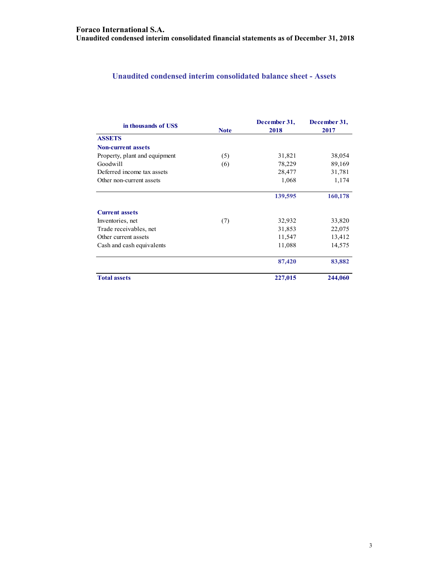## **Unaudited condensed interim consolidated balance sheet - Assets**

| in thousands of USS           | <b>Note</b> | December 31,<br>2018 | December 31,<br>2017 |
|-------------------------------|-------------|----------------------|----------------------|
| <b>ASSETS</b>                 |             |                      |                      |
| <b>Non-current assets</b>     |             |                      |                      |
| Property, plant and equipment | (5)         | 31,821               | 38,054               |
| Goodwill                      | (6)         | 78,229               | 89,169               |
| Deferred income tax assets    |             | 28,477               | 31,781               |
| Other non-current assets      |             | 1,068                | 1,174                |
|                               |             | 139,595              | 160,178              |
| <b>Current assets</b>         |             |                      |                      |
| Inventories, net              | (7)         | 32,932               | 33,820               |
| Trade receivables, net        |             | 31,853               | 22,075               |
| Other current assets          |             | 11,547               | 13,412               |
| Cash and cash equivalents     |             | 11,088               | 14,575               |
|                               |             | 87,420               | 83,882               |
| <b>Total assets</b>           |             | 227,015              | 244,060              |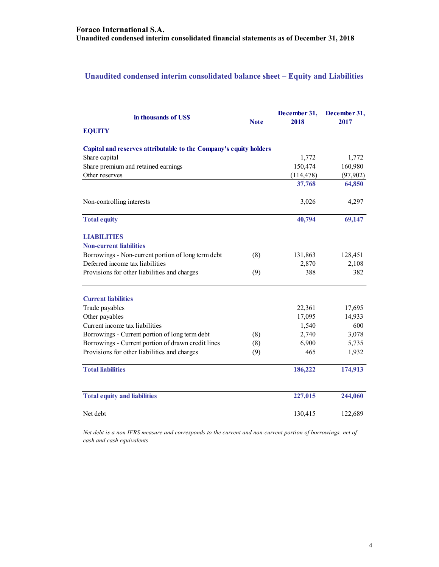## **Unaudited condensed interim consolidated balance sheet – Equity and Liabilities**

| in thousands of US\$                                              | <b>Note</b> | December 31,<br>2018 | December 31,<br>2017 |
|-------------------------------------------------------------------|-------------|----------------------|----------------------|
| <b>EQUITY</b>                                                     |             |                      |                      |
| Capital and reserves attributable to the Company's equity holders |             |                      |                      |
| Share capital                                                     |             | 1,772                | 1,772                |
| Share premium and retained earnings                               |             | 150,474              | 160,980              |
| Other reserves                                                    |             | (114, 478)           | (97, 902)            |
|                                                                   |             | 37,768               | 64,850               |
| Non-controlling interests                                         |             | 3,026                | 4,297                |
| <b>Total equity</b>                                               |             | 40,794               | 69,147               |
| <b>LIABILITIES</b>                                                |             |                      |                      |
| <b>Non-current liabilities</b>                                    |             |                      |                      |
| Borrowings - Non-current portion of long term debt                | (8)         | 131,863              | 128,451              |
| Deferred income tax liabilities                                   |             | 2,870                | 2,108                |
| Provisions for other liabilities and charges                      | (9)         | 388                  | 382                  |
| <b>Current liabilities</b>                                        |             |                      |                      |
| Trade payables                                                    |             | 22,361               | 17,695               |
| Other payables                                                    |             | 17,095               | 14,933               |
| Current income tax liabilities                                    |             | 1,540                | 600                  |
| Borrowings - Current portion of long term debt                    | (8)         | 2,740                | 3,078                |
| Borrowings - Current portion of drawn credit lines                | (8)         | 6,900                | 5,735                |
| Provisions for other liabilities and charges                      | (9)         | 465                  | 1,932                |
| <b>Total liabilities</b>                                          |             | 186,222              | 174,913              |
| <b>Total equity and liabilities</b>                               |             | 227,015              | 244,060              |
| Net debt                                                          |             | 130,415              | 122,689              |

*Net debt is a non IFRS measure and corresponds to the current and non-current portion of borrowings, net of cash and cash equivalents*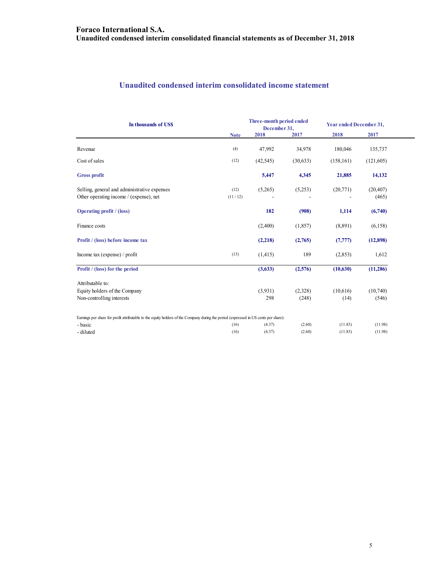## **Unaudited condensed interim consolidated income statement**

| In thousands of US\$                                                                                                                 |                 | Three-month period ended<br>December 31, |          | Year ended December 31, |                    |
|--------------------------------------------------------------------------------------------------------------------------------------|-----------------|------------------------------------------|----------|-------------------------|--------------------|
|                                                                                                                                      | <b>Note</b>     | 2018                                     | 2017     | 2018                    | 2017               |
| Revenue                                                                                                                              | (4)             | 47,992                                   | 34,978   | 180,046                 | 135,737            |
| Cost of sales                                                                                                                        | (12)            | (42, 545)                                | (30,633) | (158, 161)              | (121,605)          |
| <b>Gross profit</b>                                                                                                                  |                 | 5,447                                    | 4,345    | 21,885                  | 14,132             |
| Selling, general and administrative expenses<br>Other operating income / (expense), net                                              | (12)<br>(11/12) | (5,265)                                  | (5,253)  | (20, 771)               | (20, 407)<br>(465) |
| <b>Operating profit</b> / (loss)                                                                                                     |                 | 182                                      | (908)    | 1,114                   | (6,740)            |
| Finance costs                                                                                                                        |                 | (2,400)                                  | (1, 857) | (8,891)                 | (6,158)            |
| Profit / (loss) before income tax                                                                                                    |                 | (2,218)                                  | (2,765)  | (7, 777)                | (12,898)           |
| Income tax (expense) / profit                                                                                                        | (13)            | (1, 415)                                 | 189      | (2,853)                 | 1,612              |
| Profit / (loss) for the period                                                                                                       |                 | (3,633)                                  | (2,576)  | (10,630)                | (11, 286)          |
| Attributable to:                                                                                                                     |                 |                                          |          |                         |                    |
| Equity holders of the Company                                                                                                        |                 | (3,931)                                  | (2,328)  | (10,616)                | (10,740)           |
| Non-controlling interests                                                                                                            |                 | 298                                      | (248)    | (14)                    | (546)              |
| Earnings per share for profit attributable to the equity holders of the Company during the period (expressed in US cents per share): |                 |                                          |          |                         |                    |
| - basic                                                                                                                              | (16)            | (4.37)                                   | (2.60)   | (11.83)                 | (11.98)            |
| - diluted                                                                                                                            | (16)            | (4.37)                                   | (2.60)   | (11.83)                 | (11.98)            |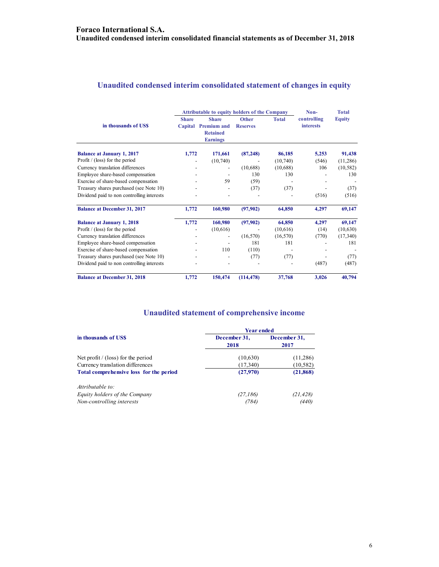## **Unaudited condensed interim consolidated statement of changes in equity**

|                                            |              | <b>Attributable to equity holders of the Company</b> | Non-            | <b>Total</b> |                  |               |
|--------------------------------------------|--------------|------------------------------------------------------|-----------------|--------------|------------------|---------------|
|                                            | <b>Share</b> | <b>Share</b>                                         | <b>Other</b>    | <b>Total</b> | controlling      | <b>Equity</b> |
| in thousands of US\$                       | Capital      | <b>Premium and</b>                                   | <b>Reserves</b> |              | <b>interests</b> |               |
|                                            |              | <b>Retained</b>                                      |                 |              |                  |               |
|                                            |              | <b>Earnings</b>                                      |                 |              |                  |               |
| <b>Balance at January 1, 2017</b>          | 1,772        | 171,661                                              | (87, 248)       | 86,185       | 5,253            | 91,438        |
| Profit $/$ (loss) for the period           |              | (10,740)                                             |                 | (10,740)     | (546)            | (11,286)      |
| Currency translation differences           |              | $\overline{\phantom{a}}$                             | (10,688)        | (10,688)     | 106              | (10, 582)     |
| Employee share-based compensation          |              |                                                      | 130             | 130          |                  | 130           |
| Exercise of share-based compensation       |              | 59                                                   | (59)            |              |                  |               |
| Treasury shares purchased (see Note 10)    |              |                                                      | (37)            | (37)         |                  | (37)          |
| Dividend paid to non controlling interests |              |                                                      |                 |              | (516)            | (516)         |
| <b>Balance at December 31, 2017</b>        | 1,772        | 160,980                                              | (97,902)        | 64,850       | 4,297            | 69,147        |
| <b>Balance at January 1, 2018</b>          | 1,772        | 160,980                                              | (97,902)        | 64,850       | 4,297            | 69,147        |
| Profit $/$ (loss) for the period           |              | (10,616)                                             |                 | (10,616)     | (14)             | (10, 630)     |
| Currency translation differences           |              |                                                      | (16, 570)       | (16, 570)    | (770)            | (17,340)      |
| Employee share-based compensation          |              |                                                      | 181             | 181          |                  | 181           |
| Exercise of share-based compensation       |              | 110                                                  | (110)           |              |                  |               |
| Treasury shares purchased (see Note 10)    |              |                                                      | (77)            | (77)         |                  | (77)          |
| Dividend paid to non controlling interests |              |                                                      |                 |              | (487)            | (487)         |
| <b>Balance at December 31, 2018</b>        | 1,772        | 150,474                                              | (114, 478)      | 37,768       | 3,026            | 40,794        |

## **Unaudited statement of comprehensive income**

| <b>Year ended</b>    |                      |  |  |
|----------------------|----------------------|--|--|
| December 31,<br>2018 | December 31,<br>2017 |  |  |
| (10,630)             | (11,286)             |  |  |
| (17,340)             | (10, 582)            |  |  |
| (27,970)             | (21, 868)            |  |  |
|                      |                      |  |  |
| (27, 186)            | (21, 428)            |  |  |
| (784)                | (440)                |  |  |
|                      |                      |  |  |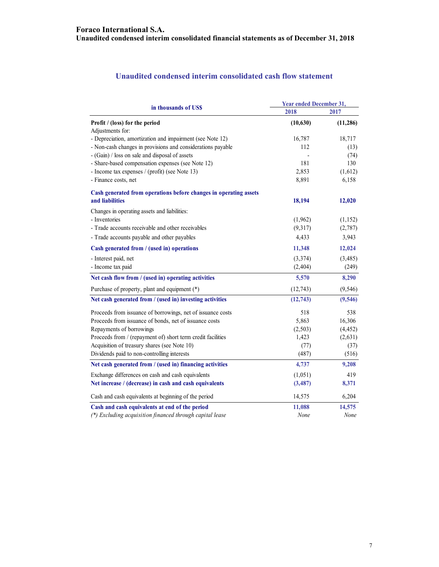#### **Unaudited condensed interim consolidated cash flow statement**

| in thousands of US\$                                              | <b>Year ended December 31,</b> |           |  |
|-------------------------------------------------------------------|--------------------------------|-----------|--|
|                                                                   | 2018                           | 2017      |  |
| Profit / (loss) for the period                                    | (10, 630)                      | (11, 286) |  |
| Adjustments for:                                                  |                                |           |  |
| - Depreciation, amortization and impairment (see Note 12)         | 16,787                         | 18,717    |  |
| - Non-cash changes in provisions and considerations payable       | 112                            | (13)      |  |
| - (Gain) / loss on sale and disposal of assets                    |                                | (74)      |  |
| - Share-based compensation expenses (see Note 12)                 | 181                            | 130       |  |
| - Income tax expenses / (profit) (see Note 13)                    | 2,853                          | (1,612)   |  |
| - Finance costs, net                                              | 8,891                          | 6,158     |  |
| Cash generated from operations before changes in operating assets |                                |           |  |
| and liabilities                                                   | 18,194                         | 12,020    |  |
| Changes in operating assets and liabilities:                      |                                |           |  |
| - Inventories                                                     | (1,962)                        | (1, 152)  |  |
| - Trade accounts receivable and other receivables                 | (9,317)                        | (2,787)   |  |
| - Trade accounts payable and other payables                       | 4,433                          | 3,943     |  |
| Cash generated from / (used in) operations                        | 11,348                         | 12,024    |  |
| - Interest paid, net                                              | (3,374)                        | (3,485)   |  |
| - Income tax paid                                                 | (2, 404)                       | (249)     |  |
| Net cash flow from / (used in) operating activities               | 5,570                          | 8,290     |  |
| Purchase of property, plant and equipment (*)                     | (12,743)                       | (9, 546)  |  |
| Net cash generated from / (used in) investing activities          | (12, 743)                      | (9, 546)  |  |
| Proceeds from issuance of borrowings, net of issuance costs       | 518                            | 538       |  |
| Proceeds from issuance of bonds, net of issuance costs            | 5,863                          | 16,306    |  |
| Repayments of borrowings                                          | (2,503)                        | (4, 452)  |  |
| Proceeds from / (repayment of) short term credit facilities       | 1,423                          | (2,631)   |  |
| Acquisition of treasury shares (see Note 10)                      | (77)                           | (37)      |  |
| Dividends paid to non-controlling interests                       | (487)                          | (516)     |  |
| Net cash generated from / (used in) financing activities          | 4,737                          | 9,208     |  |
| Exchange differences on cash and cash equivalents                 | (1,051)                        | 419       |  |
| Net increase / (decrease) in cash and cash equivalents            | (3, 487)                       | 8,371     |  |
| Cash and cash equivalents at beginning of the period              | 14,575                         | 6,204     |  |
| Cash and cash equivalents at end of the period                    | 11,088                         | 14,575    |  |
| (*) Excluding acquisition financed through capital lease          | None                           | None      |  |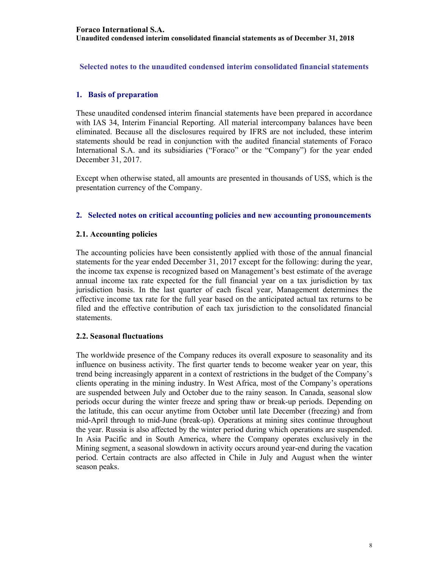**Selected notes to the unaudited condensed interim consolidated financial statements** 

#### **1. Basis of preparation**

These unaudited condensed interim financial statements have been prepared in accordance with IAS 34, Interim Financial Reporting. All material intercompany balances have been eliminated. Because all the disclosures required by IFRS are not included, these interim statements should be read in conjunction with the audited financial statements of Foraco International S.A. and its subsidiaries ("Foraco" or the "Company") for the year ended December 31, 2017.

Except when otherwise stated, all amounts are presented in thousands of US\$, which is the presentation currency of the Company.

#### **2. Selected notes on critical accounting policies and new accounting pronouncements**

#### **2.1. Accounting policies**

The accounting policies have been consistently applied with those of the annual financial statements for the year ended December 31, 2017 except for the following: during the year, the income tax expense is recognized based on Management's best estimate of the average annual income tax rate expected for the full financial year on a tax jurisdiction by tax jurisdiction basis. In the last quarter of each fiscal year, Management determines the effective income tax rate for the full year based on the anticipated actual tax returns to be filed and the effective contribution of each tax jurisdiction to the consolidated financial statements.

#### **2.2. Seasonal fluctuations**

The worldwide presence of the Company reduces its overall exposure to seasonality and its influence on business activity. The first quarter tends to become weaker year on year, this trend being increasingly apparent in a context of restrictions in the budget of the Company's clients operating in the mining industry. In West Africa, most of the Company's operations are suspended between July and October due to the rainy season. In Canada, seasonal slow periods occur during the winter freeze and spring thaw or break-up periods. Depending on the latitude, this can occur anytime from October until late December (freezing) and from mid-April through to mid-June (break-up). Operations at mining sites continue throughout the year. Russia is also affected by the winter period during which operations are suspended. In Asia Pacific and in South America, where the Company operates exclusively in the Mining segment, a seasonal slowdown in activity occurs around year-end during the vacation period. Certain contracts are also affected in Chile in July and August when the winter season peaks.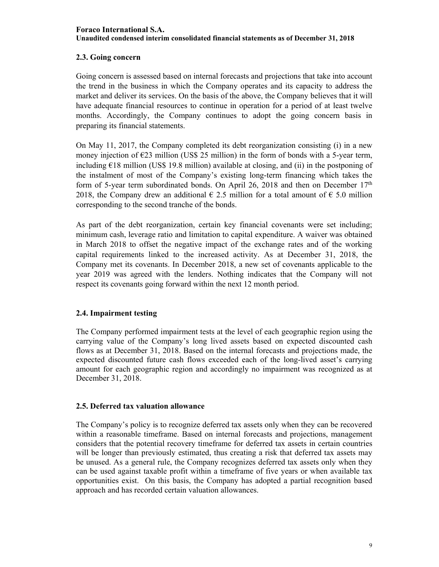## **Foraco International S.A. Unaudited condensed interim consolidated financial statements as of December 31, 2018**

## **2.3. Going concern**

Going concern is assessed based on internal forecasts and projections that take into account the trend in the business in which the Company operates and its capacity to address the market and deliver its services. On the basis of the above, the Company believes that it will have adequate financial resources to continue in operation for a period of at least twelve months. Accordingly, the Company continues to adopt the going concern basis in preparing its financial statements.

On May 11, 2017, the Company completed its debt reorganization consisting (i) in a new money injection of  $\epsilon$ 23 million (US\$ 25 million) in the form of bonds with a 5-year term, including  $E18$  million (US\$ 19.8 million) available at closing, and (ii) in the postponing of the instalment of most of the Company's existing long-term financing which takes the form of 5-year term subordinated bonds. On April 26, 2018 and then on December  $17<sup>th</sup>$ 2018, the Company drew an additional  $\epsilon$  2.5 million for a total amount of  $\epsilon$  5.0 million corresponding to the second tranche of the bonds.

As part of the debt reorganization, certain key financial covenants were set including; minimum cash, leverage ratio and limitation to capital expenditure. A waiver was obtained in March 2018 to offset the negative impact of the exchange rates and of the working capital requirements linked to the increased activity. As at December 31, 2018, the Company met its covenants. In December 2018, a new set of covenants applicable to the year 2019 was agreed with the lenders. Nothing indicates that the Company will not respect its covenants going forward within the next 12 month period.

#### **2.4. Impairment testing**

The Company performed impairment tests at the level of each geographic region using the carrying value of the Company's long lived assets based on expected discounted cash flows as at December 31, 2018. Based on the internal forecasts and projections made, the expected discounted future cash flows exceeded each of the long-lived asset's carrying amount for each geographic region and accordingly no impairment was recognized as at December 31, 2018.

#### **2.5. Deferred tax valuation allowance**

The Company's policy is to recognize deferred tax assets only when they can be recovered within a reasonable timeframe. Based on internal forecasts and projections, management considers that the potential recovery timeframe for deferred tax assets in certain countries will be longer than previously estimated, thus creating a risk that deferred tax assets may be unused. As a general rule, the Company recognizes deferred tax assets only when they can be used against taxable profit within a timeframe of five years or when available tax opportunities exist. On this basis, the Company has adopted a partial recognition based approach and has recorded certain valuation allowances.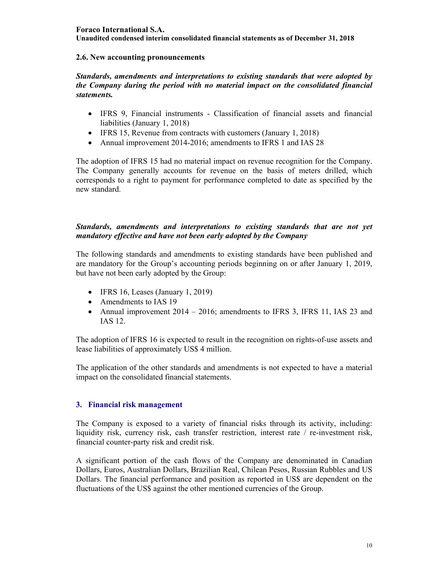#### **Foraco International S.A. Unaudited condensed interim consolidated financial statements as of December 31, 2018**

#### **2.6. New accounting pronouncements**

*Standards, amendments and interpretations to existing standards that were adopted by the Company during the period with no material impact on the consolidated financial statements.* 

- IFRS 9, Financial instruments Classification of financial assets and financial liabilities (January 1, 2018)
- IFRS 15, Revenue from contracts with customers (January 1, 2018)
- Annual improvement 2014-2016; amendments to IFRS 1 and IAS 28

The adoption of IFRS 15 had no material impact on revenue recognition for the Company. The Company generally accounts for revenue on the basis of meters drilled, which corresponds to a right to payment for performance completed to date as specified by the new standard.

#### *Standards, amendments and interpretations to existing standards that are not yet mandatory effective and have not been early adopted by the Company*

The following standards and amendments to existing standards have been published and are mandatory for the Group's accounting periods beginning on or after January 1, 2019, but have not been early adopted by the Group:

- $\bullet$  IFRS 16, Leases (January 1, 2019)
- Amendments to IAS 19
- Annual improvement 2014 2016; amendments to IFRS 3, IFRS 11, IAS 23 and IAS 12.

The adoption of IFRS 16 is expected to result in the recognition on rights-of-use assets and lease liabilities of approximately US\$ 4 million.

The application of the other standards and amendments is not expected to have a material impact on the consolidated financial statements.

#### **3. Financial risk management**

The Company is exposed to a variety of financial risks through its activity, including: liquidity risk, currency risk, cash transfer restriction, interest rate / re-investment risk, financial counter-party risk and credit risk.

A significant portion of the cash flows of the Company are denominated in Canadian Dollars, Euros, Australian Dollars, Brazilian Real, Chilean Pesos, Russian Rubbles and US Dollars. The financial performance and position as reported in US\$ are dependent on the fluctuations of the US\$ against the other mentioned currencies of the Group.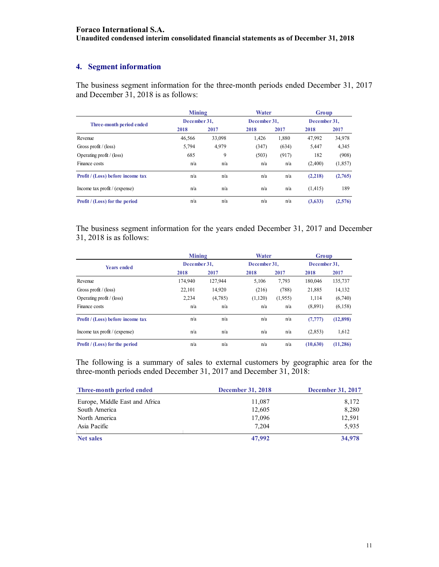## **4. Segment information**

The business segment information for the three-month periods ended December 31, 2017 and December 31, 2018 is as follows:

|                                       | <b>Mining</b> |        | Water        |       | Group        |          |
|---------------------------------------|---------------|--------|--------------|-------|--------------|----------|
| Three-month period ended              | December 31.  |        | December 31. |       | December 31. |          |
|                                       | 2018          | 2017   | 2018         | 2017  | 2018         | 2017     |
| Revenue                               | 46,566        | 33,098 | 1,426        | 1,880 | 47,992       | 34,978   |
| Gross profit / $(\text{loss})$        | 5,794         | 4,979  | (347)        | (634) | 5,447        | 4,345    |
| Operating profit $/$ (loss)           | 685           | 9      | (503)        | (917) | 182          | (908)    |
| Finance costs                         | n/a           | n/a    | n/a          | n/a   | (2,400)      | (1, 857) |
| Profit / (Loss) before income tax     | n/a           | n/a    | n/a          | n/a   | (2,218)      | (2,765)  |
| Income tax profit $/$ (expense)       | n/a           | n/a    | n/a          | n/a   | (1, 415)     | 189      |
| <b>Profit</b> / (Loss) for the period | n/a           | n/a    | n/a          | n/a   | (3,633)      | (2,576)  |

The business segment information for the years ended December 31, 2017 and December 31, 2018 is as follows:

|                                       | <b>Mining</b> |              | Water   |              | Group    |              |  |
|---------------------------------------|---------------|--------------|---------|--------------|----------|--------------|--|
| <b>Years ended</b>                    |               | December 31. |         | December 31. |          | December 31. |  |
|                                       | 2018          | 2017         | 2018    | 2017         | 2018     | 2017         |  |
| Revenue                               | 174,940       | 127,944      | 5,106   | 7,793        | 180,046  | 135,737      |  |
| Gross profit / (loss)                 | 22.101        | 14,920       | (216)   | (788)        | 21,885   | 14,132       |  |
| Operating profit $/$ (loss)           | 2,234         | (4,785)      | (1,120) | (1,955)      | 1,114    | (6,740)      |  |
| Finance costs                         | n/a           | n/a          | n/a     | n/a          | (8,891)  | (6,158)      |  |
| Profit / (Loss) before income tax     | n/a           | n/a          | n/a     | n/a          | (7, 777) | (12,898)     |  |
| Income tax profit $/$ (expense)       | n/a           | n/a          | n/a     | n/a          | (2,853)  | 1,612        |  |
| <b>Profit</b> / (Loss) for the period | n/a           | n/a          | n/a     | n/a          | (10,630) | (11, 286)    |  |

The following is a summary of sales to external customers by geographic area for the three-month periods ended December 31, 2017 and December 31, 2018:

| Three-month period ended       | <b>December 31, 2018</b> | <b>December 31, 2017</b> |
|--------------------------------|--------------------------|--------------------------|
| Europe, Middle East and Africa | 11,087                   | 8,172                    |
| South America                  | 12,605                   | 8,280                    |
| North America                  | 17,096                   | 12,591                   |
| Asia Pacific                   | 7.204                    | 5.935                    |
| Net sales                      | 47,992                   | 34,978                   |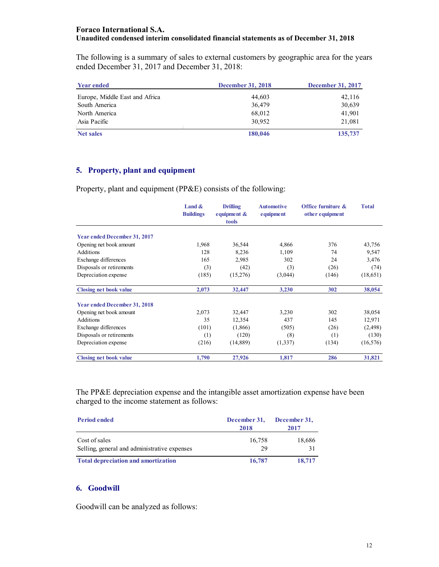#### **Foraco International S.A. Unaudited condensed interim consolidated financial statements as of December 31, 2018**

The following is a summary of sales to external customers by geographic area for the years ended December 31, 2017 and December 31, 2018:

| <b>Year ended</b>              | <b>December 31, 2018</b> | <b>December 31, 2017</b> |
|--------------------------------|--------------------------|--------------------------|
| Europe, Middle East and Africa | 44,603                   | 42,116                   |
| South America                  | 36,479                   | 30,639                   |
| North America                  | 68,012                   | 41,901                   |
| Asia Pacific                   | 30,952                   | 21.081                   |
| <b>Net sales</b>               | 180,046                  | 135,737                  |

#### **5. Property, plant and equipment**

Property, plant and equipment (PP&E) consists of the following:

|                                     | Land &<br><b>Buildings</b> | <b>Drilling</b><br>equipment $\&$<br>tools | <b>Automotive</b><br>equipment | Office furniture &<br>other equipment | <b>Total</b> |
|-------------------------------------|----------------------------|--------------------------------------------|--------------------------------|---------------------------------------|--------------|
| <b>Year ended December 31, 2017</b> |                            |                                            |                                |                                       |              |
| Opening net book amount             | 1,968                      | 36,544                                     | 4,866                          | 376                                   | 43,756       |
| Additions                           | 128                        | 8,236                                      | 1,109                          | 74                                    | 9,547        |
| Exchange differences                | 165                        | 2,985                                      | 302                            | 24                                    | 3,476        |
| Disposals or retirements            | (3)                        | (42)                                       | (3)                            | (26)                                  | (74)         |
| Depreciation expense                | (185)                      | (15,276)                                   | (3,044)                        | (146)                                 | (18,651)     |
| <b>Closing net book value</b>       | 2,073                      | 32,447                                     | 3,230                          | 302                                   | 38,054       |
| <b>Year ended December 31, 2018</b> |                            |                                            |                                |                                       |              |
| Opening net book amount             | 2,073                      | 32,447                                     | 3,230                          | 302                                   | 38,054       |
| Additions                           | 35                         | 12,354                                     | 437                            | 145                                   | 12,971       |
| Exchange differences                | (101)                      | (1,866)                                    | (505)                          | (26)                                  | (2,498)      |
| Disposals or retirements            | (1)                        | (120)                                      | (8)                            | (1)                                   | (130)        |
| Depreciation expense                | (216)                      | (14, 889)                                  | (1,337)                        | (134)                                 | (16, 576)    |
| <b>Closing net book value</b>       | 1,790                      | 27,926                                     | 1,817                          | 286                                   | 31,821       |

The PP&E depreciation expense and the intangible asset amortization expense have been charged to the income statement as follows:

| <b>Period ended</b>                                           | December 31,<br>2018 | December 31,<br>2017 |
|---------------------------------------------------------------|----------------------|----------------------|
| Cost of sales<br>Selling, general and administrative expenses | 16,758<br>29         | 18,686<br>31         |
| <b>Total depreciation and amortization</b>                    | 16,787               | 18,717               |

## **6. Goodwill**

Goodwill can be analyzed as follows: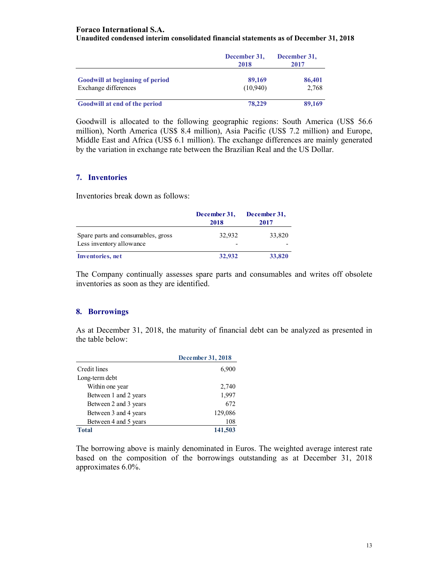#### **Foraco International S.A.**

#### **Unaudited condensed interim consolidated financial statements as of December 31, 2018**

|                                        | December 31,<br>2018 | December 31,<br>2017 |
|----------------------------------------|----------------------|----------------------|
| <b>Goodwill at beginning of period</b> | 89,169               | 86,401               |
| Exchange differences                   | (10,940)             | 2.768                |
| Goodwill at end of the period          | 78,229               | 89,169               |

Goodwill is allocated to the following geographic regions: South America (US\$ 56.6 million), North America (US\$ 8.4 million), Asia Pacific (US\$ 7.2 million) and Europe, Middle East and Africa (US\$ 6.1 million). The exchange differences are mainly generated by the variation in exchange rate between the Brazilian Real and the US Dollar.

#### **7. Inventories**

Inventories break down as follows:

|                                                                | December 31,<br>2018 | December 31,<br>2017 |
|----------------------------------------------------------------|----------------------|----------------------|
| Spare parts and consumables, gross<br>Less inventory allowance | 32.932               | 33,820               |
| <b>Inventories</b> , net                                       | 32,932               | 33,820               |

The Company continually assesses spare parts and consumables and writes off obsolete inventories as soon as they are identified.

#### **8. Borrowings**

As at December 31, 2018, the maturity of financial debt can be analyzed as presented in the table below:

|                       | December 31, 2018 |
|-----------------------|-------------------|
| Credit lines          | 6,900             |
| Long-term debt        |                   |
| Within one year       | 2,740             |
| Between 1 and 2 years | 1,997             |
| Between 2 and 3 years | 672               |
| Between 3 and 4 years | 129,086           |
| Between 4 and 5 years | 108               |
| Total                 | 141,503           |

The borrowing above is mainly denominated in Euros. The weighted average interest rate based on the composition of the borrowings outstanding as at December 31, 2018 approximates 6.0%.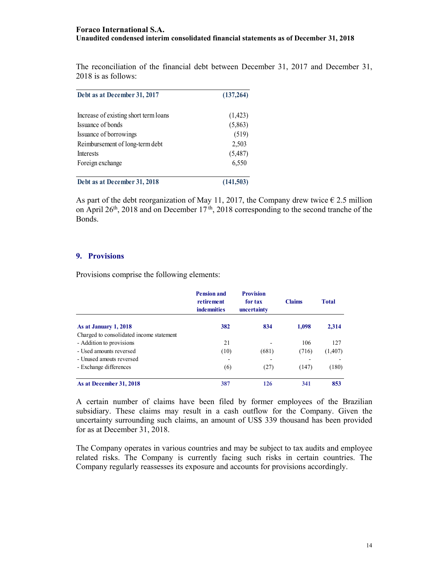The reconciliation of the financial debt between December 31, 2017 and December 31, 2018 is as follows:

| Debt as at December 31, 2017          | (137,264) |  |
|---------------------------------------|-----------|--|
| Increase of existing short term loans | (1, 423)  |  |
| Issuance of bonds                     | (5,863)   |  |
| Issuance of borrowings                | (519)     |  |
| Reimbursement of long-term debt       | 2,503     |  |
| <b>Interests</b>                      | (5,487)   |  |
| Foreign exchange                      | 6,550     |  |
| Debt as at December 31, 2018          | (141,503) |  |

As part of the debt reorganization of May 11, 2017, the Company drew twice  $\epsilon$  2.5 million on April 26<sup>th</sup>, 2018 and on December 17<sup>th</sup>, 2018 corresponding to the second tranche of the Bonds.

#### **9. Provisions**

Provisions comprise the following elements:

|                                          | <b>Pension and</b><br>retirement<br><b>indemnities</b> | <b>Provision</b><br>for tax<br>uncertainty | <b>Claims</b> | <b>Total</b> |
|------------------------------------------|--------------------------------------------------------|--------------------------------------------|---------------|--------------|
| As at January 1, 2018                    | 382                                                    | 834                                        | 1,098         | 2,314        |
| Charged to consolidated income statement |                                                        |                                            |               |              |
| - Addition to provisions                 | 21                                                     | -                                          | 106           | 127          |
| - Used amounts reversed                  | (10)                                                   | (681)                                      | (716)         | (1,407)      |
| - Unused amouts reversed                 |                                                        |                                            |               |              |
| - Exchange differences                   | (6)                                                    | (27)                                       | (147)         | (180)        |
| As at December 31, 2018                  | 387                                                    | 126                                        | 341           | 853          |

A certain number of claims have been filed by former employees of the Brazilian subsidiary. These claims may result in a cash outflow for the Company. Given the uncertainty surrounding such claims, an amount of US\$ 339 thousand has been provided for as at December 31, 2018.

The Company operates in various countries and may be subject to tax audits and employee related risks. The Company is currently facing such risks in certain countries. The Company regularly reassesses its exposure and accounts for provisions accordingly.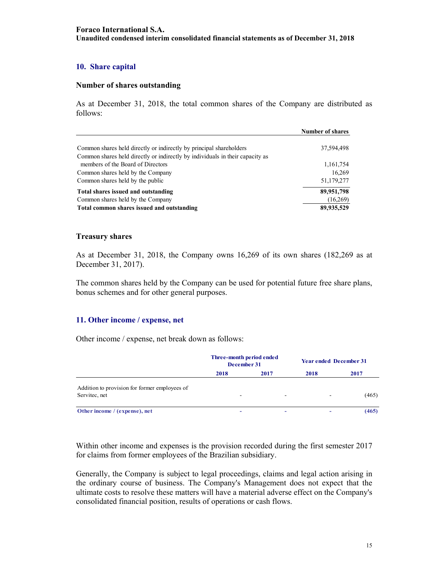### **10. Share capital**

#### **Number of shares outstanding**

As at December 31, 2018, the total common shares of the Company are distributed as follows:

|                                                                                                                                                      | <b>Number of shares</b> |
|------------------------------------------------------------------------------------------------------------------------------------------------------|-------------------------|
| Common shares held directly or indirectly by principal shareholders<br>Common shares held directly or indirectly by individuals in their capacity as | 37,594,498              |
| members of the Board of Directors                                                                                                                    | 1,161,754               |
| Common shares held by the Company                                                                                                                    | 16,269                  |
| Common shares held by the public                                                                                                                     | 51,179,277              |
| Total shares issued and outstanding                                                                                                                  | 89,951,798              |
| Common shares held by the Company                                                                                                                    | (16,269)                |
| Total common shares issued and outstanding                                                                                                           | 89,935,529              |

#### **Treasury shares**

As at December 31, 2018, the Company owns 16,269 of its own shares (182,269 as at December 31, 2017).

The common shares held by the Company can be used for potential future free share plans, bonus schemes and for other general purposes.

#### **11. Other income / expense, net**

Other income / expense, net break down as follows:

|                                               | Three-month period ended<br>December 31 |                          | <b>Year ended December 31</b> |       |
|-----------------------------------------------|-----------------------------------------|--------------------------|-------------------------------|-------|
|                                               | 2018                                    | 2017                     | 2018                          | 2017  |
| Addition to provision for former employees of |                                         |                          |                               |       |
| Servitec, net                                 | $\overline{\phantom{a}}$                | $\overline{\phantom{a}}$ | $\overline{\phantom{a}}$      | (465) |
| Other income / (expense), net                 | ٠                                       | ۰                        |                               | (465) |

Within other income and expenses is the provision recorded during the first semester 2017 for claims from former employees of the Brazilian subsidiary.

Generally, the Company is subject to legal proceedings, claims and legal action arising in the ordinary course of business. The Company's Management does not expect that the ultimate costs to resolve these matters will have a material adverse effect on the Company's consolidated financial position, results of operations or cash flows.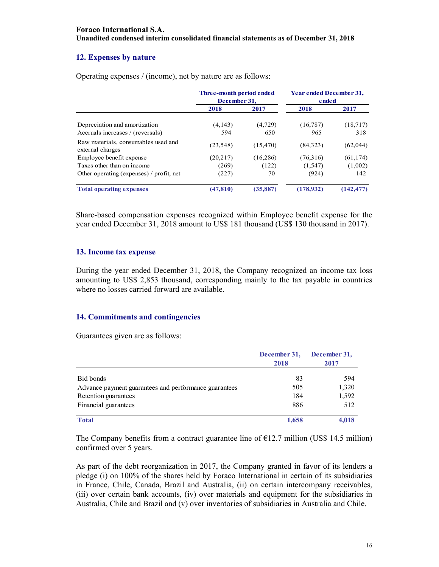#### **12. Expenses by nature**

|                                                         | Three-month period ended<br>December 31. |           | <b>Year ended December 31,</b><br>ended |            |
|---------------------------------------------------------|------------------------------------------|-----------|-----------------------------------------|------------|
|                                                         | 2018                                     | 2017      | 2018                                    | 2017       |
| Depreciation and amortization                           | (4, 143)                                 | (4, 729)  | (16, 787)                               | (18,717)   |
| Accruals increases / (reversals)                        | 594                                      | 650       | 965                                     | 318        |
| Raw materials, consumables used and<br>external charges | (23, 548)                                | (15, 470) | (84,323)                                | (62,044)   |
| Employee benefit expense                                | (20,217)                                 | (16, 286) | (76,316)                                | (61, 174)  |
| Taxes other than on income                              | (269)                                    | (122)     | (1, 547)                                | (1,002)    |
| Other operating (expenses) / profit, net                | (227)                                    | 70        | (924)                                   | 142        |
| <b>Total operating expenses</b>                         | (47, 810)                                | (35, 887) | (178.932)                               | (142, 477) |

Operating expenses / (income), net by nature are as follows:

Share-based compensation expenses recognized within Employee benefit expense for the year ended December 31, 2018 amount to US\$ 181 thousand (US\$ 130 thousand in 2017).

#### **13. Income tax expense**

During the year ended December 31, 2018, the Company recognized an income tax loss amounting to US\$ 2,853 thousand, corresponding mainly to the tax payable in countries where no losses carried forward are available.

#### **14. Commitments and contingencies**

Guarantees given are as follows:

|                                                       | December 31,<br>2018 | December 31,<br>2017 |  |
|-------------------------------------------------------|----------------------|----------------------|--|
| Bid bonds                                             | 83                   | 594                  |  |
| Advance payment guarantees and performance guarantees | 505                  | 1,320                |  |
| Retention guarantees                                  | 184                  | 1,592                |  |
| Financial guarantees                                  | 886                  | 512                  |  |
| <b>Total</b>                                          | 1,658                | 4,018                |  |

The Company benefits from a contract guarantee line of  $E12.7$  million (US\$ 14.5 million) confirmed over 5 years.

As part of the debt reorganization in 2017, the Company granted in favor of its lenders a pledge (i) on 100% of the shares held by Foraco International in certain of its subsidiaries in France, Chile, Canada, Brazil and Australia, (ii) on certain intercompany receivables, (iii) over certain bank accounts, (iv) over materials and equipment for the subsidiaries in Australia, Chile and Brazil and (v) over inventories of subsidiaries in Australia and Chile.